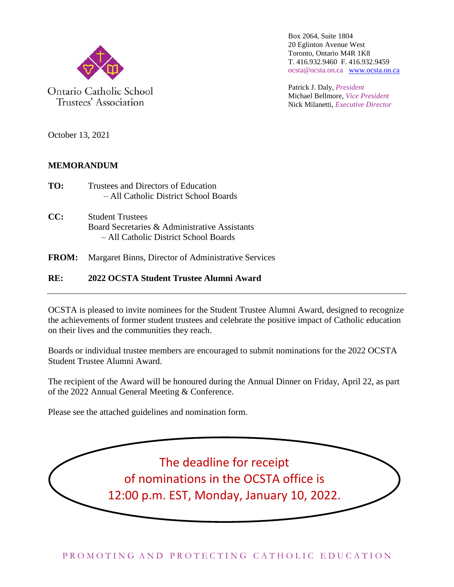

Ontario Catholic School Trustees' Association

Box 2064, Suite 1804 20 Eglinton Avenue West Toronto, Ontario M4R 1K8 T. 416.932.9460 F. 416.932.9459 ocsta@ocsta.on.ca [www.ocsta.on.ca](http://www.ocsta.on.ca/)

Patrick J. Daly, *President* Michael Bellmore, *Vice President* Nick Milanetti, *Executive Director*

October 13, 2021

### **MEMORANDUM**

- **TO:** Trustees and Directors of Education – All Catholic District School Boards
- **CC:** Student Trustees Board Secretaries & Administrative Assistants – All Catholic District School Boards
- **FROM:** Margaret Binns, Director of Administrative Services

#### **RE: 2022 OCSTA Student Trustee Alumni Award**

OCSTA is pleased to invite nominees for the Student Trustee Alumni Award, designed to recognize the achievements of former student trustees and celebrate the positive impact of Catholic education on their lives and the communities they reach.

Boards or individual trustee members are encouraged to submit nominations for the 2022 OCSTA Student Trustee Alumni Award.

The recipient of the Award will be honoured during the Annual Dinner on Friday, April 22, as part of the 2022 Annual General Meeting & Conference.

Please see the attached guidelines and nomination form.

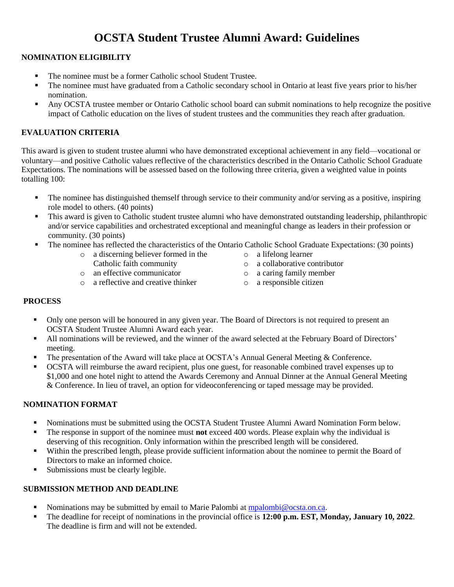## **OCSTA Student Trustee Alumni Award: Guidelines**

#### **NOMINATION ELIGIBILITY**

- The nominee must be a former Catholic school Student Trustee.
- The nominee must have graduated from a Catholic secondary school in Ontario at least five years prior to his/her nomination.
- Any OCSTA trustee member or Ontario Catholic school board can submit nominations to help recognize the positive impact of Catholic education on the lives of student trustees and the communities they reach after graduation.

#### **EVALUATION CRITERIA**

This award is given to student trustee alumni who have demonstrated exceptional achievement in any field—vocational or voluntary—and positive Catholic values reflective of the characteristics described in the Ontario Catholic School Graduate Expectations. The nominations will be assessed based on the following three criteria, given a weighted value in points totalling 100:

- The nominee has distinguished themself through service to their community and/or serving as a positive, inspiring role model to others. (40 points)
- This award is given to Catholic student trustee alumni who have demonstrated outstanding leadership, philanthropic and/or service capabilities and orchestrated exceptional and meaningful change as leaders in their profession or community. (30 points)
- The nominee has reflected the characteristics of the Ontario Catholic School Graduate Expectations: (30 points) o a lifelong learner
	- o a discerning believer formed in the
		- Catholic faith community
	- o an effective communicator
	- o a reflective and creative thinker
- o a collaborative contributor
- o a caring family member
- o a responsible citizen

#### **PROCESS**

- Only one person will be honoured in any given year. The Board of Directors is not required to present an OCSTA Student Trustee Alumni Award each year.
- All nominations will be reviewed, and the winner of the award selected at the February Board of Directors' meeting.
- The presentation of the Award will take place at OCSTA's Annual General Meeting & Conference.
- OCSTA will reimburse the award recipient, plus one guest, for reasonable combined travel expenses up to \$1,000 and one hotel night to attend the Awards Ceremony and Annual Dinner at the Annual General Meeting & Conference. In lieu of travel, an option for videoconferencing or taped message may be provided.

#### **NOMINATION FORMAT**

- Nominations must be submitted using the OCSTA Student Trustee Alumni Award Nomination Form below.
- The response in support of the nominee must **not** exceed 400 words. Please explain why the individual is deserving of this recognition. Only information within the prescribed length will be considered.
- Within the prescribed length, please provide sufficient information about the nominee to permit the Board of Directors to make an informed choice.
- Submissions must be clearly legible.

#### **SUBMISSION METHOD AND DEADLINE**

- Nominations may be submitted by email to Marie Palombi at [mpalombi@ocsta.on.ca.](mailto:mpalombi@ocsta.on.ca)
- The deadline for receipt of nominations in the provincial office is **12:00 p.m. EST, Monday, January 10, 2022**. The deadline is firm and will not be extended.